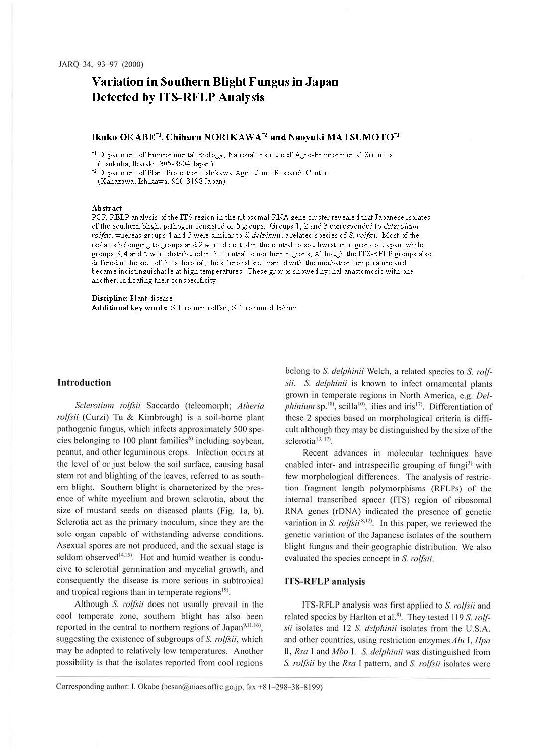# **Variation in Southern Blight Fungus in Japan Detected by ITS-RFLP Analysis**

## **Ikuko OKABE\*<sup>1</sup> , Chiharu NORIKAWA** \*2 **and Naoyuki MATSUMOT0\*<sup>1</sup>**

• 1 Department of Environmental Biology, National Institute of Agro-Environmental Sciences (Tsukuba, Ibaraki, 305-8604 Japan)

• <sup>2</sup>Department of Plant Protection, Ishikawa Agriculture Research Center (Kanazawa, Ishikawa, 920-3198 Japan)

#### **Abstract**

PCR-RELP analysis of the ITS region in the ribosomal RNA gene cluster revealed that Japanese isolates of the southern blight pathogen consisted of 5 groups. Groups 1, 2 and 3 corresponded to *Sclerolium roljsii,* whereas groups 4 and 5 were similar to S. *delphinii,* a related species of S. *roljsii.* Most of the isolates belonging to groups and 2 were detected in the central to southwestern regions of Japan, while groups 3, 4 and 5 were distributed in the central to northern regions, Although the ITS-RFLP groups also differed in the size of the sclerotial, the sclerotial size varied with the incubation temperature and became indistinguishable at high temperatures. These groups showed hyphal anastomosis with one another, indicating their con specificity.

## **Discipline:** Plant disease

**Additional keywords:** Sclerotium rolfsii, Selerotium delphinii

## **Introduction**

 $Sclerotium$  *rolfsii* Saccardo (teleomorph; *Atheria rolfsii* (Curzi) Tu & Kimbrough) is a soil-borne plant pathogenic fungus, which infects approximately 500 species belonging to 100 plant families<sup>6)</sup> including soybean, peanut, and other leguminous crops. Infection occurs at the level of or just below the soil surface, causing basal stem rot and blighting of the leaves, referred to as southern blight. Southern blight is characterized by the presence of white mycelium and brown sclerotia, about the size of mustard seeds on diseased plants (Fig. 1a, b). Sclerotia act as the primary inoculum, since they arc the sole organ capable of withstanding adverse conditions. Asexual spores are not produced, and the sexual stage is seldom observed<sup>14,15</sup>. Hot and humid weather is conducive to sclerotial germination and rnycelial growth, and consequently the disease is more serious in subtropical and tropical regions than in temperate regions<sup>19)</sup>.

Although S. *rolfsii* does not usually prevail in the cool temperate zone, southern blight has also been reported in the central to northern regions of Japan<sup>9,11,16</sup>, suggesting the existence of subgroups of S. *rolfsii*, which may be adapted to relatively low temperatures. Another possibility is that the isolates reported from cool regions belong to *S. delphinii* Welch, a related species to S. *rolf* $sii$ . *S. delphinii* is known to infect ornamental plants grown in temperate regions in North America, e.g. *Delphinium* sp.<sup>18</sup>, scilla<sup>10</sup>, lilies and iris<sup>17</sup>. Differentiation of these 2 species based on morphological criteria is difficult although they may be distinguished by the size of the sclerotia<sup>13, 17</sup>.

Recent advances in molecular techniques have enabled inter- and intraspecific grouping of fungi<sup>3)</sup> with few morphological differences. The analysis of restriction fragment length polymorphisms (RFLPs) of the internal transcribed spacer (ITS) region of ribosomal RNA genes (rDNA) indicated the presence of genetic variation in *S. rolfsii*<sup>8,12)</sup>. In this paper, we reviewed the genetic variation of the Japanese isolates of the southern blight fungus and their geographic distribution. We also evaluated the species concept in S. *rolfsii.* 

#### **ITS-RFLP analysis**

ITS-RFLP analysis was first applied to S. *rolfsii* and related species by Harlton et al.<sup>8)</sup>. They tested 119 S. rolf*sii* isolates and 12 S. *delphinii* isolates from the U.S.A. and other countries, using restriction enzymes *Alu I, Hpa* II, *Rsa I* and *Mbo I. S. delphinii* was distinguished from S. *rolfsii* by the *Rsa* I pattern, and *S. rolfsii* isolates were

Corresponding author: I. Okabe (besan@niaes.affrc.go.jp, fax +81-298-38-8199)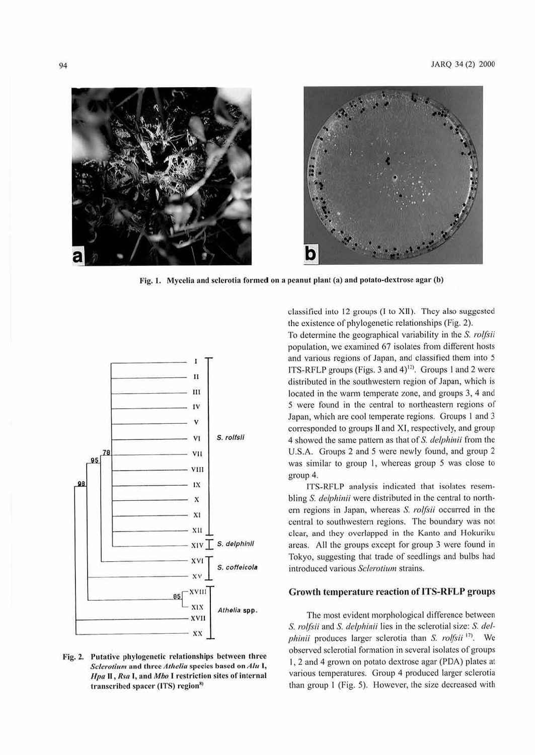

Fig. 1. Mycelia and sclerotia formed on a peanut plant (a) and potato-dextrose agar (b)



Fig. 2. Putative phylogenetic relationships between three *Sclerotium* and three *Athelia* species based on *Alu* **I**, *Hpa II*, *Rsa I*, and *Mbo I* restriction sites of internal transcribed spacer (ITS) region<sup>8)</sup>

classified into 12 groups (I to XII). They also suggested the existence of phylogenetic relationships (Fig. 2).

To determine the geographical variability in the S. *rolfsii*  population, we examined 67 isolates from different hosts and various regions of Japan, and classified them into *5*  ITS-RFLP groups (Figs. 3 and  $4$ )<sup>12)</sup>. Groups 1 and 2 were distributed in the southwestern region of Japan, which is located in the warm temperate zone, and groups 3, 4 and 5 were found in the central to northeastern regions of Japan, which are cool temperate regions. Groups 1 and 3 corresponded to groups II and XI, respectively, and group 4 showed the same pallern as that of S. *delphinii* from the U.S.A. Groups 2 and 5 were newly found, and group 2 was similar to group I, whereas group 5 was close to group 4.

ITS-RFLP analysis indicated that isolates resembling S. *delphinii* were distributed in the central to northern regions in Japan, whereas S. rolfsii occurred in the central to southwestern regions. The boundary was not clear, and they overlapped in the Kanto and Hokuriku areas. All the groups except for group 3 were found in Tokyo, suggesting that trade of seedlings and bulbs had introduced various Sclerotium strains.

### **Growth temperature reaction oflTS-RFLP groups**

The most evident morphological difference between *S. rolfsii* and *S. delphinii* lies in the sclerotial size: *S. del*phinii produces larger sclerotia than *S. rolfsii*<sup>17</sup>. We observed sclerotial formation in several isolates of groups I, 2 and 4 grown on potato dextrose agar (PDA) plates at various temperatures. Group 4 produced larger sclerotia than group I (Fig. 5). However, the size decreased with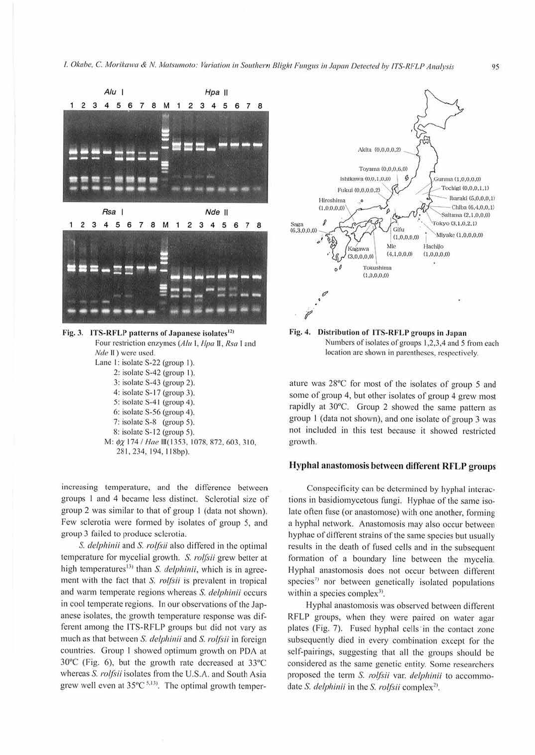

4: isolate S-17 (group 3). 5: isolate S-41 (group 4).

- 6: isolate S-56 (group 4).
- 7: isolate S-8 (group 5).
- 8: isolate S-12 (group 5).
- М: фх 174 / Нае Ш(1353, 1078, 872, 603, 310, 281, 234, 194, 118bp).

increasing temperature, and the difference between groups 1 and 4 became less distinct. Sclerotial size of group 2 was similar to that of group 1 (data not shown). Few sclerotia were formed by isolates of group 5, and group 3 failed to produce sclerotia.

S. delphinii and S. rolfsii also differed in the optimal temperature for mycelial growth. S. rolfsii grew better at high temperatures<sup>13)</sup> than S. delphinii, which is in agreement with the fact that S. rolfsii is prevalent in tropical and warm temperate regions whereas S. delphinii occurs in cool temperate regions. In our observations of the Japanese isolates, the growth temperature response was different among the ITS-RFLP groups but did not vary as much as that between S. delphinii and S. rolfsii in foreign countries. Group 1 showed optimum growth on PDA at  $30^{\circ}$ C (Fig. 6), but the growth rate decreased at  $33^{\circ}$ C whereas S. rolfsii isolates from the U.S.A. and South Asia grew well even at  $35^{\circ}$ C<sup>5,13)</sup>. The optimal growth temper-



Fig. 4. Distribution of ITS-RFLP groups in Japan Numbers of isolates of groups 1,2,3,4 and 5 from each location are shown in parentheses, respectively.

ature was 28°C for most of the isolates of group 5 and some of group 4, but other isolates of group 4 grew most rapidly at 30°C. Group 2 showed the same pattern as group 1 (data not shown), and one isolate of group 3 was not included in this test because it showed restricted growth.

# Hyphal anastomosis between different RFLP groups

Conspecificity can be determined by hyphal interactions in basidiomycetous fungi. Hyphae of the same isolate often fuse (or anastomose) with one another, forming a hyphal network. Anastomosis may also occur between hyphae of different strains of the same species but usually results in the death of fused cells and in the subsequent formation of a boundary line between the mycelia. Hyphal anastomosis does not occur between different species<sup>7)</sup> nor between genetically isolated populations within a species complex<sup>3</sup>.

Hyphal anastomosis was observed between different RFLP groups, when they were paired on water agar plates (Fig. 7). Fused hyphal cells in the contact zone subsequently died in every combination except for the self-pairings, suggesting that all the groups should be considered as the same genetic entity. Some researchers proposed the term S. rolfsii var. delphinii to accommodate S. delphinii in the S. rolfsii complex<sup>2)</sup>.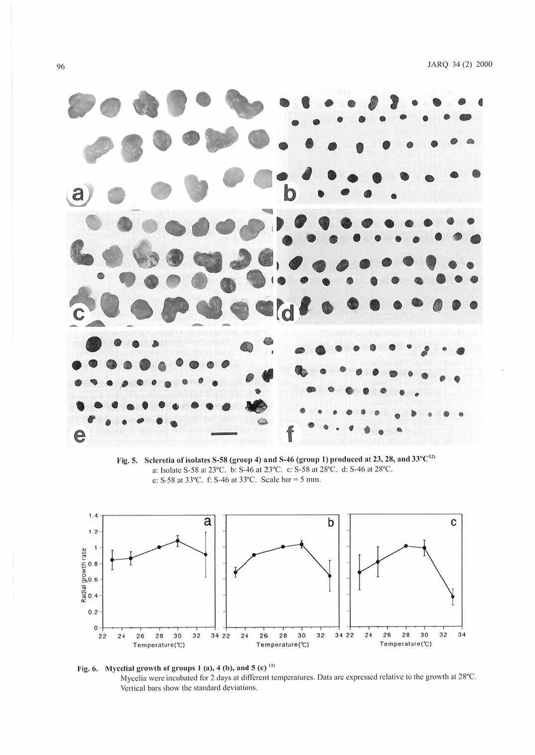

Fig. 5. Sclerotia of isolates S-58 (group 4) and S-46 (group 1) produced at 23, 28, and 33°C<sup>12)</sup> a: Isolate S-58 at 23°C. b: S-46 at 23°C. c: S-58 at 28°C. d: S-46 at 28°C. e: S-58 at 33°C. f: S-46 at 33°C. Scale bar = 5 mm.